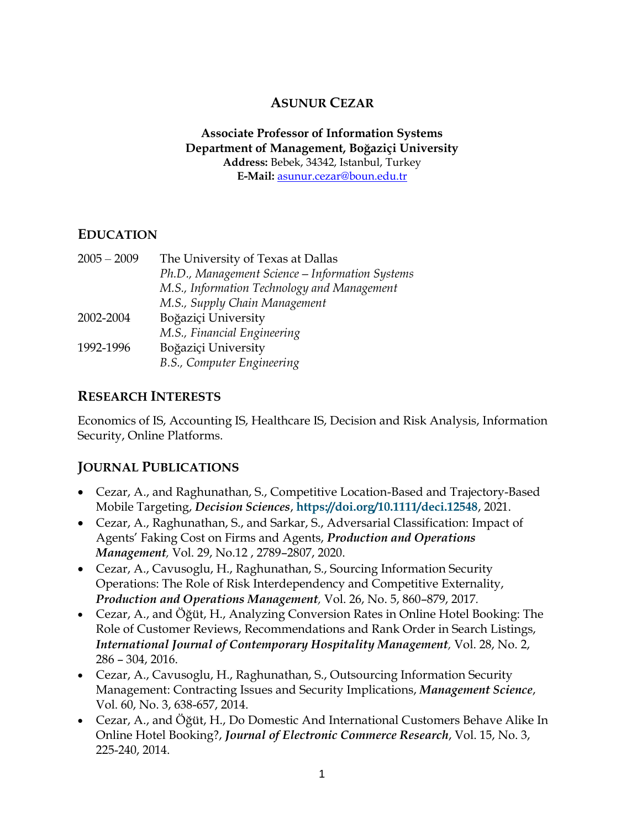### **ASUNUR CEZAR**

#### **Associate Professor of Information Systems Department of Management, Boğaziçi University Address:** Bebek, 34342, Istanbul, Turkey **E-Mail:** [asunur.cezar@boun.edu.tr](mailto:asunur.cezar@boun.edu.tr)

#### **EDUCATION**

| $2005 - 2009$ | The University of Texas at Dallas               |
|---------------|-------------------------------------------------|
|               | Ph.D., Management Science - Information Systems |
|               | M.S., Information Technology and Management     |
|               | M.S., Supply Chain Management                   |
| 2002-2004     | Boğaziçi University                             |
|               | M.S., Financial Engineering                     |
| 1992-1996     | Boğaziçi University                             |
|               | B.S., Computer Engineering                      |
|               |                                                 |

#### **RESEARCH INTERESTS**

Economics of IS, Accounting IS, Healthcare IS, Decision and Risk Analysis, Information Security, Online Platforms.

#### **JOURNAL PUBLICATIONS**

- Cezar, A., and Raghunathan, S., Competitive Location-Based and Trajectory-Based Mobile Targeting, *Decision Sciences*, **<https://doi.org/10.1111/deci.12548>**, 2021.
- Cezar, A., Raghunathan, S., and Sarkar, S., Adversarial Classification: Impact of Agents' Faking Cost on Firms and Agents, *Production and Operations Management,* Vol. 29, No.12 , 2789–2807, 2020.
- Cezar, A., Cavusoglu, H., Raghunathan, S., Sourcing Information Security Operations: The Role of Risk Interdependency and Competitive Externality, *Production and Operations Management,* Vol. 26, No. 5, 860–879, 2017*.*
- Cezar, A., and Öğüt, H., Analyzing Conversion Rates in Online Hotel Booking: The Role of Customer Reviews, Recommendations and Rank Order in Search Listings, *International Journal of Contemporary Hospitality Management,* Vol. 28, No. 2, 286 – 304, 2016.
- Cezar, A., Cavusoglu, H., Raghunathan, S., Outsourcing Information Security Management: Contracting Issues and Security Implications, *Management Science*, Vol. 60, No. 3, 638-657, 2014.
- Cezar, A., and Öğüt, H., Do Domestic And International Customers Behave Alike In Online Hotel Booking?, *Journal of Electronic Commerce Research*, Vol. 15, No. 3, 225-240, 2014.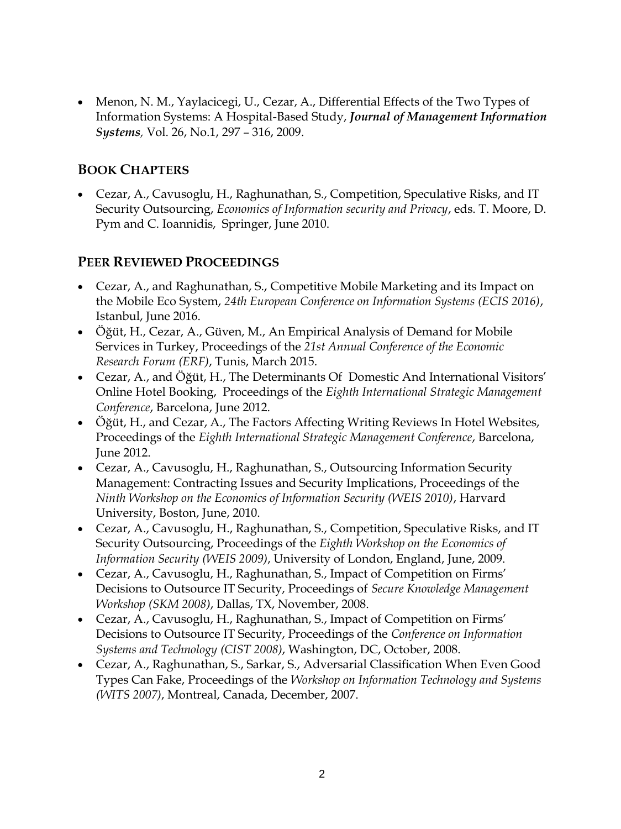• Menon, N. M., Yaylacicegi, U., Cezar, A., Differential Effects of the Two Types of Information Systems: A Hospital-Based Study, *Journal of Management Information Systems,* Vol. 26, No.1, 297 – 316, 2009.

### **BOOK CHAPTERS**

 Cezar, A., Cavusoglu, H., Raghunathan, S., Competition, Speculative Risks, and IT Security Outsourcing, *Economics of Information security and Privacy*, eds. T. Moore, D. Pym and C. Ioannidis, Springer, June 2010.

### **PEER REVIEWED PROCEEDINGS**

- Cezar, A., and Raghunathan, S., Competitive Mobile Marketing and its Impact on the Mobile Eco System, *24th European Conference on Information Systems (ECIS 2016)*, Istanbul, June 2016.
- Öğüt, H., Cezar, A., Güven, M., An Empirical Analysis of Demand for Mobile Services in Turkey, Proceedings of the *21st Annual Conference of the Economic Research Forum (ERF)*, Tunis, March 2015.
- Cezar, A., and Öğüt, H., The Determinants Of Domestic And International Visitors' Online Hotel Booking, Proceedings of the *Eighth International Strategic Management Conference*, Barcelona, June 2012.
- Öğüt, H., and Cezar, A., The Factors Affecting Writing Reviews In Hotel Websites, Proceedings of the *Eighth International Strategic Management Conference*, Barcelona, June 2012.
- Cezar, A., Cavusoglu, H., Raghunathan, S., Outsourcing Information Security Management: Contracting Issues and Security Implications, Proceedings of the *Ninth Workshop on the Economics of Information Security (WEIS 2010)*, Harvard University, Boston, June, 2010.
- Cezar, A., Cavusoglu, H., Raghunathan, S., Competition, Speculative Risks, and IT Security Outsourcing, Proceedings of the *Eighth Workshop on the Economics of Information Security (WEIS 2009)*, University of London, England, June, 2009.
- Cezar, A., Cavusoglu, H., Raghunathan, S., Impact of Competition on Firms' Decisions to Outsource IT Security, Proceedings of *Secure Knowledge Management Workshop (SKM 2008)*, Dallas, TX, November, 2008.
- Cezar, A., Cavusoglu, H., Raghunathan, S., Impact of Competition on Firms' Decisions to Outsource IT Security, Proceedings of the *[Conference on Information](http://www.rhsmith.umd.edu/doit/cist2008)  [Systems and Technology](http://www.rhsmith.umd.edu/doit/cist2008) (CIST 2008)*, Washington, DC, October, 2008.
- Cezar, A., Raghunathan, S., Sarkar, S., Adversarial Classification When Even Good Types Can Fake, Proceedings of the *Workshop on Information Technology and Systems (WITS 2007)*, Montreal, Canada, December, 2007.